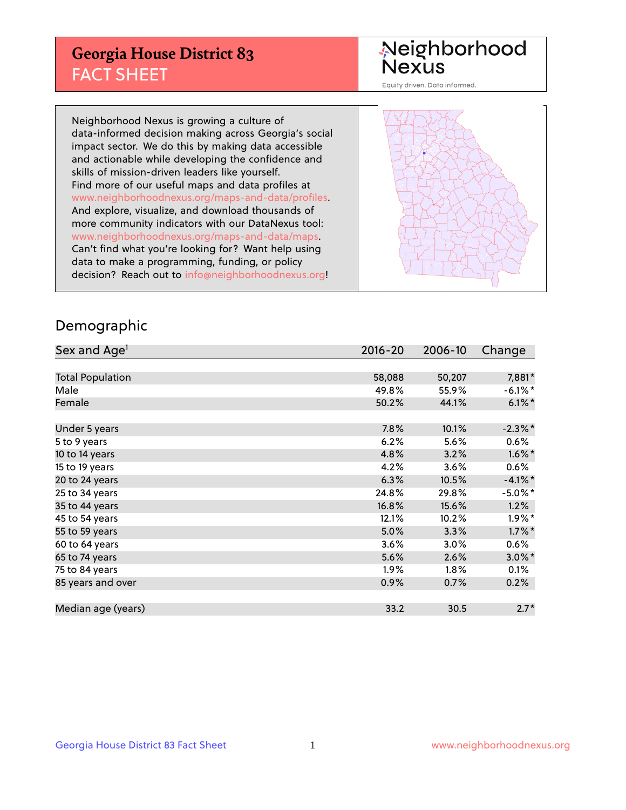## **Georgia House District 83** FACT SHEET

# Neighborhood<br>Nexus

Equity driven. Data informed.

Neighborhood Nexus is growing a culture of data-informed decision making across Georgia's social impact sector. We do this by making data accessible and actionable while developing the confidence and skills of mission-driven leaders like yourself. Find more of our useful maps and data profiles at www.neighborhoodnexus.org/maps-and-data/profiles. And explore, visualize, and download thousands of more community indicators with our DataNexus tool: www.neighborhoodnexus.org/maps-and-data/maps. Can't find what you're looking for? Want help using data to make a programming, funding, or policy decision? Reach out to [info@neighborhoodnexus.org!](mailto:info@neighborhoodnexus.org)



### Demographic

| Sex and Age <sup>1</sup> | $2016 - 20$ | 2006-10 | Change     |
|--------------------------|-------------|---------|------------|
|                          |             |         |            |
| <b>Total Population</b>  | 58,088      | 50,207  | 7,881*     |
| Male                     | 49.8%       | 55.9%   | $-6.1\%$ * |
| Female                   | 50.2%       | 44.1%   | $6.1\%$ *  |
|                          |             |         |            |
| Under 5 years            | 7.8%        | 10.1%   | $-2.3\%$ * |
| 5 to 9 years             | 6.2%        | 5.6%    | $0.6\%$    |
| 10 to 14 years           | 4.8%        | 3.2%    | $1.6\%$ *  |
| 15 to 19 years           | 4.2%        | 3.6%    | 0.6%       |
| 20 to 24 years           | 6.3%        | 10.5%   | $-4.1\%$ * |
| 25 to 34 years           | 24.8%       | 29.8%   | $-5.0\%$ * |
| 35 to 44 years           | 16.8%       | 15.6%   | 1.2%       |
| 45 to 54 years           | 12.1%       | 10.2%   | $1.9\%$ *  |
| 55 to 59 years           | 5.0%        | 3.3%    | $1.7\%$ *  |
| 60 to 64 years           | 3.6%        | 3.0%    | 0.6%       |
| 65 to 74 years           | 5.6%        | 2.6%    | $3.0\%$ *  |
| 75 to 84 years           | $1.9\%$     | $1.8\%$ | 0.1%       |
| 85 years and over        | 0.9%        | 0.7%    | 0.2%       |
|                          |             |         |            |
| Median age (years)       | 33.2        | 30.5    | $2.7*$     |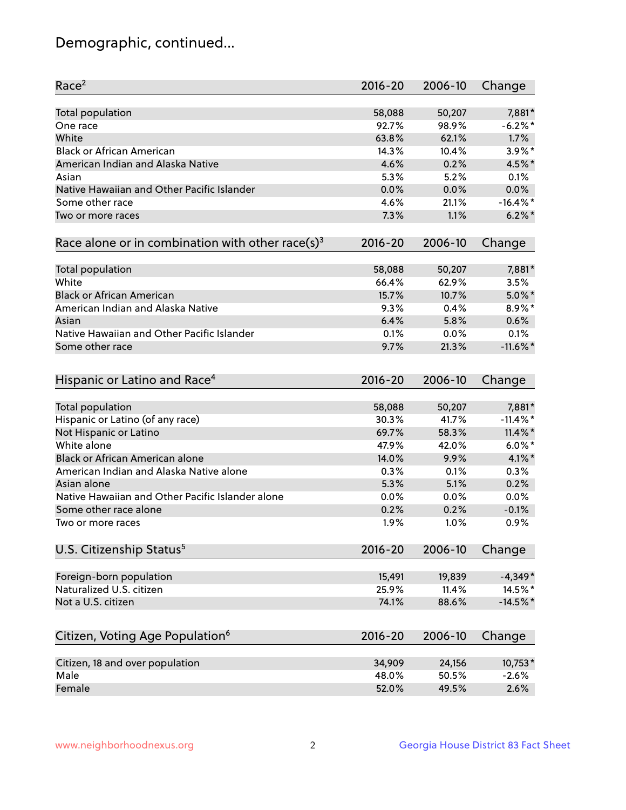## Demographic, continued...

| Race <sup>2</sup>                                            | $2016 - 20$ | 2006-10 | Change      |
|--------------------------------------------------------------|-------------|---------|-------------|
| <b>Total population</b>                                      | 58,088      | 50,207  | 7,881*      |
| One race                                                     | 92.7%       | 98.9%   | $-6.2%$ *   |
| White                                                        | 63.8%       | 62.1%   | 1.7%        |
| <b>Black or African American</b>                             | 14.3%       | 10.4%   | $3.9\%$ *   |
| American Indian and Alaska Native                            | 4.6%        | 0.2%    | 4.5%*       |
| Asian                                                        | 5.3%        | 5.2%    | 0.1%        |
| Native Hawaiian and Other Pacific Islander                   | 0.0%        | 0.0%    | 0.0%        |
| Some other race                                              | 4.6%        | 21.1%   | $-16.4%$ *  |
| Two or more races                                            | 7.3%        | 1.1%    | $6.2\%$     |
| Race alone or in combination with other race(s) <sup>3</sup> | $2016 - 20$ | 2006-10 | Change      |
| Total population                                             | 58,088      | 50,207  | 7,881*      |
| White                                                        | 66.4%       | 62.9%   | 3.5%        |
| <b>Black or African American</b>                             | 15.7%       | 10.7%   | $5.0\%$ *   |
| American Indian and Alaska Native                            | 9.3%        | 0.4%    | 8.9%*       |
| Asian                                                        | 6.4%        | 5.8%    | 0.6%        |
| Native Hawaiian and Other Pacific Islander                   | 0.1%        | 0.0%    | 0.1%        |
| Some other race                                              | 9.7%        | 21.3%   | $-11.6\%$ * |
| Hispanic or Latino and Race <sup>4</sup>                     | $2016 - 20$ | 2006-10 | Change      |
| Total population                                             | 58,088      | 50,207  | 7,881*      |
| Hispanic or Latino (of any race)                             | 30.3%       | 41.7%   | $-11.4\%$ * |
| Not Hispanic or Latino                                       | 69.7%       | 58.3%   | $11.4\%$ *  |
| White alone                                                  | 47.9%       | 42.0%   | $6.0\%$ *   |
| Black or African American alone                              | 14.0%       | 9.9%    | $4.1\%$ *   |
| American Indian and Alaska Native alone                      | 0.3%        | 0.1%    | 0.3%        |
| Asian alone                                                  | 5.3%        | 5.1%    | 0.2%        |
| Native Hawaiian and Other Pacific Islander alone             | 0.0%        | 0.0%    | 0.0%        |
| Some other race alone                                        | 0.2%        | 0.2%    | $-0.1%$     |
| Two or more races                                            | 1.9%        | 1.0%    | 0.9%        |
| U.S. Citizenship Status <sup>5</sup>                         | $2016 - 20$ | 2006-10 | Change      |
| Foreign-born population                                      | 15,491      | 19,839  | $-4,349*$   |
| Naturalized U.S. citizen                                     | 25.9%       | 11.4%   | 14.5%*      |
| Not a U.S. citizen                                           | 74.1%       | 88.6%   | $-14.5%$ *  |
|                                                              |             |         |             |
| Citizen, Voting Age Population <sup>6</sup>                  | $2016 - 20$ | 2006-10 | Change      |
| Citizen, 18 and over population                              | 34,909      | 24,156  | 10,753*     |
| Male                                                         | 48.0%       | 50.5%   | $-2.6%$     |
| Female                                                       | 52.0%       | 49.5%   | 2.6%        |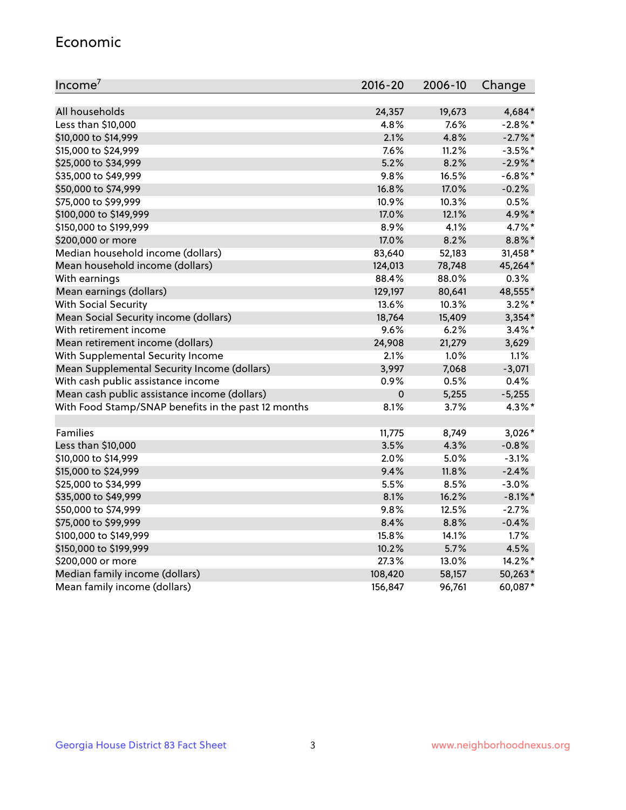#### Economic

| Income <sup>7</sup>                                 | $2016 - 20$ | 2006-10 | Change     |
|-----------------------------------------------------|-------------|---------|------------|
|                                                     |             |         |            |
| All households                                      | 24,357      | 19,673  | 4,684*     |
| Less than \$10,000                                  | 4.8%        | 7.6%    | $-2.8\%$ * |
| \$10,000 to \$14,999                                | 2.1%        | 4.8%    | $-2.7%$ *  |
| \$15,000 to \$24,999                                | 7.6%        | 11.2%   | $-3.5%$ *  |
| \$25,000 to \$34,999                                | 5.2%        | 8.2%    | $-2.9\%$ * |
| \$35,000 to \$49,999                                | 9.8%        | 16.5%   | $-6.8\%$ * |
| \$50,000 to \$74,999                                | 16.8%       | 17.0%   | $-0.2%$    |
| \$75,000 to \$99,999                                | 10.9%       | 10.3%   | 0.5%       |
| \$100,000 to \$149,999                              | 17.0%       | 12.1%   | 4.9%*      |
| \$150,000 to \$199,999                              | 8.9%        | 4.1%    | 4.7%*      |
| \$200,000 or more                                   | 17.0%       | 8.2%    | 8.8%*      |
| Median household income (dollars)                   | 83,640      | 52,183  | 31,458*    |
| Mean household income (dollars)                     | 124,013     | 78,748  | 45,264*    |
| With earnings                                       | 88.4%       | 88.0%   | 0.3%       |
| Mean earnings (dollars)                             | 129,197     | 80,641  | 48,555*    |
| <b>With Social Security</b>                         | 13.6%       | 10.3%   | $3.2\%$ *  |
| Mean Social Security income (dollars)               | 18,764      | 15,409  | $3,354*$   |
| With retirement income                              | 9.6%        | 6.2%    | $3.4\%$ *  |
| Mean retirement income (dollars)                    | 24,908      | 21,279  | 3,629      |
| With Supplemental Security Income                   | 2.1%        | $1.0\%$ | 1.1%       |
| Mean Supplemental Security Income (dollars)         | 3,997       | 7,068   | $-3,071$   |
| With cash public assistance income                  | 0.9%        | 0.5%    | 0.4%       |
| Mean cash public assistance income (dollars)        | $\mathbf 0$ | 5,255   | $-5,255$   |
| With Food Stamp/SNAP benefits in the past 12 months | 8.1%        | 3.7%    | 4.3%*      |
|                                                     |             |         |            |
| Families                                            | 11,775      | 8,749   | $3,026*$   |
| Less than \$10,000                                  | 3.5%        | 4.3%    | $-0.8%$    |
| \$10,000 to \$14,999                                | 2.0%        | 5.0%    | $-3.1%$    |
| \$15,000 to \$24,999                                | 9.4%        | 11.8%   | $-2.4%$    |
| \$25,000 to \$34,999                                | 5.5%        | 8.5%    | $-3.0%$    |
| \$35,000 to \$49,999                                | 8.1%        | 16.2%   | $-8.1\%$ * |
| \$50,000 to \$74,999                                | 9.8%        | 12.5%   | $-2.7%$    |
| \$75,000 to \$99,999                                | 8.4%        | 8.8%    | $-0.4%$    |
| \$100,000 to \$149,999                              | 15.8%       | 14.1%   | 1.7%       |
| \$150,000 to \$199,999                              | 10.2%       | 5.7%    | 4.5%       |
| \$200,000 or more                                   | 27.3%       | 13.0%   | 14.2%*     |
| Median family income (dollars)                      | 108,420     | 58,157  | 50,263*    |
| Mean family income (dollars)                        | 156,847     | 96,761  | 60,087*    |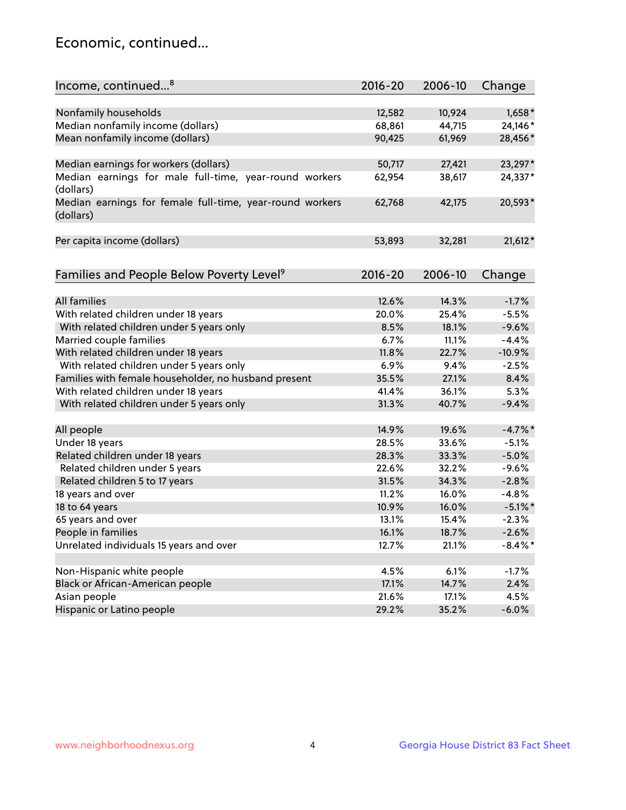## Economic, continued...

| Income, continued <sup>8</sup>                                        | $2016 - 20$ | 2006-10 | Change     |
|-----------------------------------------------------------------------|-------------|---------|------------|
|                                                                       |             |         |            |
| Nonfamily households                                                  | 12,582      | 10,924  | 1,658*     |
| Median nonfamily income (dollars)                                     | 68,861      | 44,715  | 24,146*    |
| Mean nonfamily income (dollars)                                       | 90,425      | 61,969  | 28,456*    |
| Median earnings for workers (dollars)                                 | 50,717      | 27,421  | 23,297*    |
| Median earnings for male full-time, year-round workers                | 62,954      | 38,617  | 24,337*    |
| (dollars)                                                             |             |         |            |
| Median earnings for female full-time, year-round workers<br>(dollars) | 62,768      | 42,175  | 20,593*    |
| Per capita income (dollars)                                           | 53,893      | 32,281  | $21,612*$  |
|                                                                       |             |         |            |
| Families and People Below Poverty Level <sup>9</sup>                  | 2016-20     | 2006-10 | Change     |
|                                                                       |             |         |            |
| <b>All families</b>                                                   | 12.6%       | 14.3%   | $-1.7%$    |
| With related children under 18 years                                  | 20.0%       | 25.4%   | $-5.5%$    |
| With related children under 5 years only                              | 8.5%        | 18.1%   | $-9.6%$    |
| Married couple families                                               | 6.7%        | 11.1%   | $-4.4%$    |
| With related children under 18 years                                  | 11.8%       | 22.7%   | $-10.9%$   |
| With related children under 5 years only                              | 6.9%        | 9.4%    | $-2.5%$    |
| Families with female householder, no husband present                  | 35.5%       | 27.1%   | 8.4%       |
| With related children under 18 years                                  | 41.4%       | 36.1%   | 5.3%       |
| With related children under 5 years only                              | 31.3%       | 40.7%   | $-9.4%$    |
| All people                                                            | 14.9%       | 19.6%   | $-4.7\%$ * |
| Under 18 years                                                        | 28.5%       | 33.6%   | $-5.1%$    |
| Related children under 18 years                                       | 28.3%       | 33.3%   | $-5.0%$    |
| Related children under 5 years                                        | 22.6%       | 32.2%   | $-9.6%$    |
| Related children 5 to 17 years                                        | 31.5%       | 34.3%   | $-2.8%$    |
| 18 years and over                                                     | 11.2%       | 16.0%   | $-4.8%$    |
| 18 to 64 years                                                        | 10.9%       | 16.0%   | $-5.1\%$ * |
| 65 years and over                                                     | 13.1%       | 15.4%   | $-2.3%$    |
| People in families                                                    | 16.1%       | 18.7%   | $-2.6%$    |
| Unrelated individuals 15 years and over                               | 12.7%       | 21.1%   | $-8.4\%$ * |
|                                                                       |             |         |            |
| Non-Hispanic white people                                             | 4.5%        | 6.1%    | $-1.7%$    |
| Black or African-American people                                      | 17.1%       | 14.7%   | 2.4%       |
| Asian people                                                          | 21.6%       | 17.1%   | 4.5%       |
| Hispanic or Latino people                                             | 29.2%       | 35.2%   | $-6.0%$    |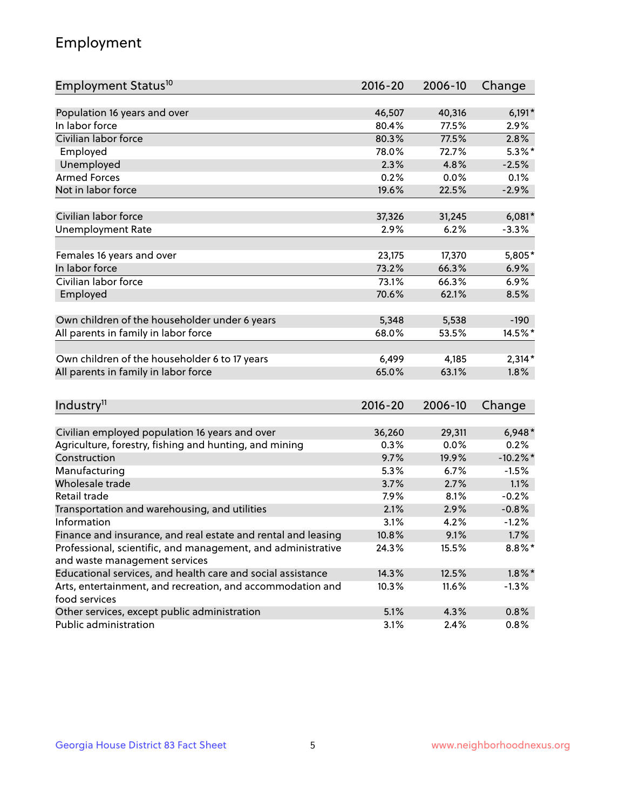## Employment

| Employment Status <sup>10</sup>                                                               | $2016 - 20$ | 2006-10 | Change      |
|-----------------------------------------------------------------------------------------------|-------------|---------|-------------|
|                                                                                               |             |         |             |
| Population 16 years and over                                                                  | 46,507      | 40,316  | $6,191*$    |
| In labor force                                                                                | 80.4%       | 77.5%   | 2.9%        |
| Civilian labor force                                                                          | 80.3%       | 77.5%   | 2.8%        |
| Employed                                                                                      | 78.0%       | 72.7%   | $5.3\%$ *   |
| Unemployed                                                                                    | 2.3%        | 4.8%    | $-2.5%$     |
| <b>Armed Forces</b>                                                                           | 0.2%        | 0.0%    | 0.1%        |
| Not in labor force                                                                            | 19.6%       | 22.5%   | $-2.9%$     |
| Civilian labor force                                                                          | 37,326      | 31,245  | $6,081*$    |
|                                                                                               | 2.9%        |         |             |
| <b>Unemployment Rate</b>                                                                      |             | 6.2%    | $-3.3%$     |
| Females 16 years and over                                                                     | 23,175      | 17,370  | 5,805*      |
| In labor force                                                                                | 73.2%       | 66.3%   | 6.9%        |
| Civilian labor force                                                                          | 73.1%       | 66.3%   | 6.9%        |
| Employed                                                                                      | 70.6%       | 62.1%   | 8.5%        |
|                                                                                               |             |         |             |
| Own children of the householder under 6 years                                                 | 5,348       | 5,538   | $-190$      |
| All parents in family in labor force                                                          | 68.0%       | 53.5%   | 14.5%*      |
| Own children of the householder 6 to 17 years                                                 | 6,499       | 4,185   | $2,314*$    |
| All parents in family in labor force                                                          | 65.0%       | 63.1%   | 1.8%        |
|                                                                                               |             |         |             |
| Industry <sup>11</sup>                                                                        | $2016 - 20$ | 2006-10 | Change      |
|                                                                                               |             |         |             |
| Civilian employed population 16 years and over                                                | 36,260      | 29,311  | $6,948*$    |
| Agriculture, forestry, fishing and hunting, and mining                                        | 0.3%        | 0.0%    | 0.2%        |
| Construction                                                                                  | 9.7%        | 19.9%   | $-10.2\%$ * |
| Manufacturing                                                                                 | 5.3%        | 6.7%    | $-1.5%$     |
| Wholesale trade                                                                               | 3.7%        | 2.7%    | 1.1%        |
| Retail trade                                                                                  | 7.9%        | 8.1%    | $-0.2%$     |
| Transportation and warehousing, and utilities                                                 | 2.1%        | 2.9%    | $-0.8%$     |
| Information                                                                                   | 3.1%        | 4.2%    | $-1.2%$     |
| Finance and insurance, and real estate and rental and leasing                                 | 10.8%       | 9.1%    | 1.7%        |
| Professional, scientific, and management, and administrative<br>and waste management services | 24.3%       | 15.5%   | $8.8\%*$    |
| Educational services, and health care and social assistance                                   | 14.3%       | 12.5%   | $1.8\%$ *   |
| Arts, entertainment, and recreation, and accommodation and                                    | 10.3%       | 11.6%   | $-1.3%$     |
| food services                                                                                 |             |         |             |
| Other services, except public administration                                                  | 5.1%        | 4.3%    | 0.8%        |
| Public administration                                                                         | 3.1%        | 2.4%    | 0.8%        |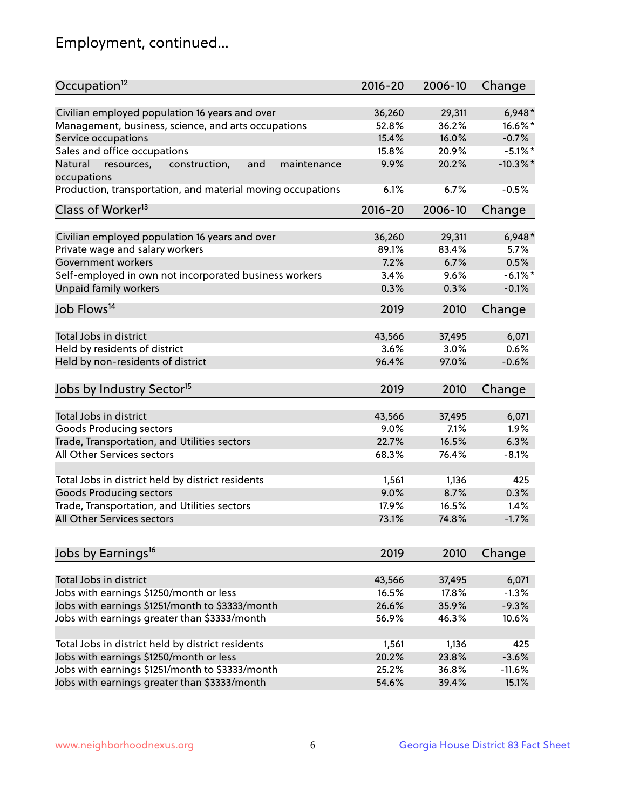## Employment, continued...

| Occupation <sup>12</sup>                                     | $2016 - 20$ | 2006-10 | Change     |
|--------------------------------------------------------------|-------------|---------|------------|
| Civilian employed population 16 years and over               | 36,260      | 29,311  | $6,948*$   |
| Management, business, science, and arts occupations          | 52.8%       | 36.2%   | $16.6\%$ * |
| Service occupations                                          | 15.4%       | 16.0%   | $-0.7%$    |
| Sales and office occupations                                 | 15.8%       | 20.9%   | $-5.1\%$ * |
| and<br>Natural<br>resources,<br>construction,<br>maintenance | 9.9%        | 20.2%   | $-10.3%$   |
| occupations                                                  |             |         |            |
| Production, transportation, and material moving occupations  | 6.1%        | 6.7%    | $-0.5%$    |
| Class of Worker <sup>13</sup>                                | $2016 - 20$ | 2006-10 | Change     |
|                                                              |             |         |            |
| Civilian employed population 16 years and over               | 36,260      | 29,311  | $6,948*$   |
| Private wage and salary workers                              | 89.1%       | 83.4%   | 5.7%       |
| Government workers                                           | 7.2%        | 6.7%    | 0.5%       |
| Self-employed in own not incorporated business workers       | 3.4%        | 9.6%    | $-6.1\%$ * |
| Unpaid family workers                                        | 0.3%        | 0.3%    | $-0.1%$    |
| Job Flows <sup>14</sup>                                      | 2019        | 2010    | Change     |
|                                                              |             |         |            |
| Total Jobs in district                                       | 43,566      | 37,495  | 6,071      |
| Held by residents of district                                | 3.6%        | 3.0%    | 0.6%       |
| Held by non-residents of district                            | 96.4%       | 97.0%   | $-0.6%$    |
| Jobs by Industry Sector <sup>15</sup>                        | 2019        | 2010    | Change     |
|                                                              |             |         |            |
| Total Jobs in district                                       | 43,566      | 37,495  | 6,071      |
| Goods Producing sectors                                      | 9.0%        | 7.1%    | 1.9%       |
| Trade, Transportation, and Utilities sectors                 | 22.7%       | 16.5%   | 6.3%       |
| All Other Services sectors                                   | 68.3%       | 76.4%   | $-8.1%$    |
| Total Jobs in district held by district residents            | 1,561       | 1,136   | 425        |
|                                                              |             |         | 0.3%       |
| <b>Goods Producing sectors</b>                               | 9.0%        | 8.7%    |            |
| Trade, Transportation, and Utilities sectors                 | 17.9%       | 16.5%   | 1.4%       |
| All Other Services sectors                                   | 73.1%       | 74.8%   | $-1.7%$    |
| Jobs by Earnings <sup>16</sup>                               | 2019        | 2010    | Change     |
|                                                              |             |         |            |
| Total Jobs in district                                       | 43,566      | 37,495  | 6,071      |
| Jobs with earnings \$1250/month or less                      | 16.5%       | 17.8%   | $-1.3%$    |
| Jobs with earnings \$1251/month to \$3333/month              | 26.6%       | 35.9%   | $-9.3%$    |
| Jobs with earnings greater than \$3333/month                 | 56.9%       | 46.3%   | 10.6%      |
| Total Jobs in district held by district residents            | 1,561       | 1,136   | 425        |
| Jobs with earnings \$1250/month or less                      | 20.2%       | 23.8%   | $-3.6%$    |
|                                                              |             |         | $-11.6%$   |
| Jobs with earnings \$1251/month to \$3333/month              | 25.2%       | 36.8%   |            |
| Jobs with earnings greater than \$3333/month                 | 54.6%       | 39.4%   | 15.1%      |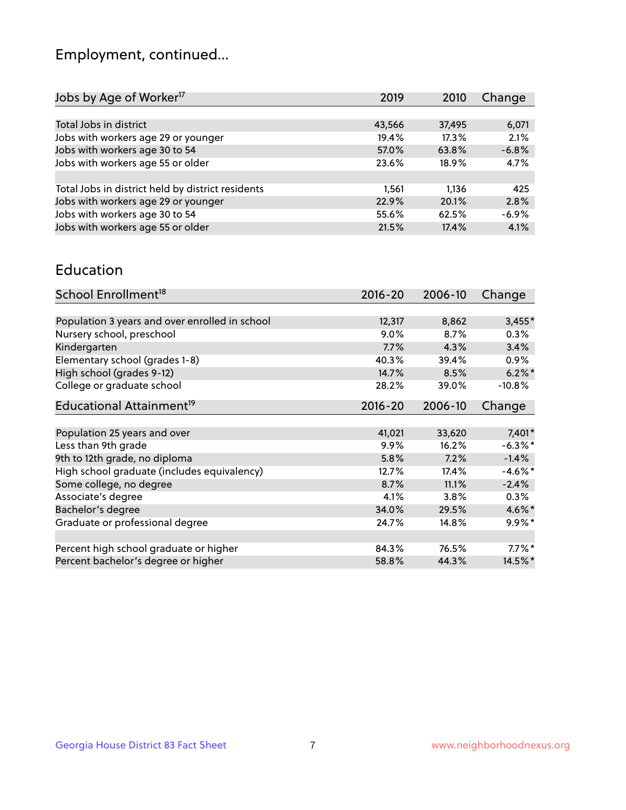## Employment, continued...

| 6,071   |
|---------|
| 2.1%    |
| $-6.8%$ |
| 4.7%    |
|         |
| 425     |
| 2.8%    |
| $-6.9%$ |
| 4.1%    |
|         |

#### Education

| School Enrollment <sup>18</sup>                | $2016 - 20$ | 2006-10 | Change     |
|------------------------------------------------|-------------|---------|------------|
|                                                |             |         |            |
| Population 3 years and over enrolled in school | 12,317      | 8,862   | $3,455*$   |
| Nursery school, preschool                      | 9.0%        | 8.7%    | $0.3\%$    |
| Kindergarten                                   | 7.7%        | 4.3%    | 3.4%       |
| Elementary school (grades 1-8)                 | 40.3%       | 39.4%   | $0.9\%$    |
| High school (grades 9-12)                      | 14.7%       | 8.5%    | $6.2\%$ *  |
| College or graduate school                     | 28.2%       | 39.0%   | $-10.8%$   |
| Educational Attainment <sup>19</sup>           | $2016 - 20$ | 2006-10 | Change     |
|                                                |             |         |            |
| Population 25 years and over                   | 41,021      | 33,620  | $7,401*$   |
| Less than 9th grade                            | 9.9%        | 16.2%   | $-6.3\%$ * |
| 9th to 12th grade, no diploma                  | 5.8%        | 7.2%    | $-1.4%$    |
| High school graduate (includes equivalency)    | 12.7%       | 17.4%   | $-4.6\%$ * |
| Some college, no degree                        | 8.7%        | 11.1%   | $-2.4%$    |
| Associate's degree                             | 4.1%        | 3.8%    | $0.3\%$    |
| Bachelor's degree                              | 34.0%       | 29.5%   | 4.6%*      |
| Graduate or professional degree                | 24.7%       | 14.8%   | $9.9%$ *   |
|                                                |             |         |            |
| Percent high school graduate or higher         | 84.3%       | 76.5%   | $7.7\%$ *  |
| Percent bachelor's degree or higher            | 58.8%       | 44.3%   | $14.5\%$ * |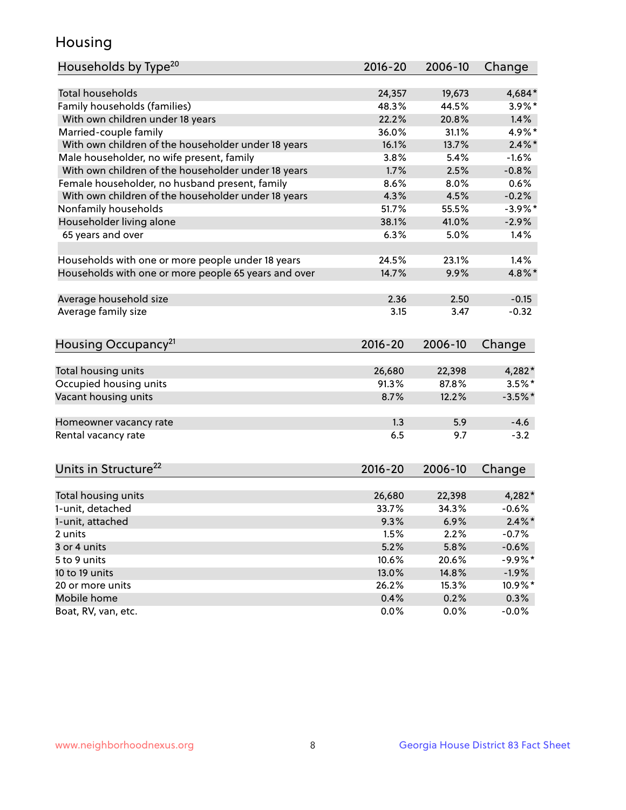## Housing

| <b>Total households</b><br>24,357<br>4,684*<br>19,673<br>Family households (families)<br>48.3%<br>44.5%<br>$3.9\%$ *<br>22.2%<br>20.8%<br>1.4%<br>With own children under 18 years<br>Married-couple family<br>4.9%*<br>36.0%<br>31.1%<br>With own children of the householder under 18 years<br>16.1%<br>$2.4\%$ *<br>13.7%<br>Male householder, no wife present, family<br>3.8%<br>5.4%<br>$-1.6%$<br>With own children of the householder under 18 years<br>1.7%<br>$-0.8%$<br>2.5%<br>Female householder, no husband present, family<br>8.6%<br>8.0%<br>0.6%<br>With own children of the householder under 18 years<br>4.3%<br>4.5%<br>$-0.2%$<br>Nonfamily households<br>$-3.9\%$ *<br>51.7%<br>55.5%<br>Householder living alone<br>38.1%<br>41.0%<br>$-2.9%$<br>6.3%<br>65 years and over<br>5.0%<br>1.4%<br>23.1%<br>Households with one or more people under 18 years<br>24.5%<br>1.4%<br>Households with one or more people 65 years and over<br>14.7%<br>9.9%<br>4.8%*<br>Average household size<br>2.36<br>2.50<br>$-0.15$<br>Average family size<br>3.15<br>$-0.32$<br>3.47<br>Housing Occupancy <sup>21</sup><br>$2016 - 20$<br>2006-10<br>Change<br>Total housing units<br>26,680<br>4,282*<br>22,398<br>Occupied housing units<br>91.3%<br>87.8%<br>$3.5%$ *<br>Vacant housing units<br>8.7%<br>$-3.5%$ *<br>12.2%<br>$-4.6$<br>1.3<br>5.9<br>Homeowner vacancy rate<br>6.5<br>9.7<br>$-3.2$<br>Units in Structure <sup>22</sup><br>2016-20<br>2006-10<br>Change<br>Total housing units<br>26,680<br>22,398<br>4,282*<br>1-unit, detached<br>33.7%<br>34.3%<br>$-0.6%$<br>9.3%<br>6.9%<br>$2.4\%$ *<br>1-unit, attached<br>2.2%<br>$-0.7%$<br>2 units<br>1.5%<br>5.2%<br>5.8%<br>$-0.6%$<br>3 or 4 units<br>$-9.9%$ *<br>5 to 9 units<br>10.6%<br>20.6% | Households by Type <sup>20</sup> | 2016-20 | 2006-10 | Change |
|-------------------------------------------------------------------------------------------------------------------------------------------------------------------------------------------------------------------------------------------------------------------------------------------------------------------------------------------------------------------------------------------------------------------------------------------------------------------------------------------------------------------------------------------------------------------------------------------------------------------------------------------------------------------------------------------------------------------------------------------------------------------------------------------------------------------------------------------------------------------------------------------------------------------------------------------------------------------------------------------------------------------------------------------------------------------------------------------------------------------------------------------------------------------------------------------------------------------------------------------------------------------------------------------------------------------------------------------------------------------------------------------------------------------------------------------------------------------------------------------------------------------------------------------------------------------------------------------------------------------------------------------------------------------------------------------------------------------------------------------------------------------------|----------------------------------|---------|---------|--------|
|                                                                                                                                                                                                                                                                                                                                                                                                                                                                                                                                                                                                                                                                                                                                                                                                                                                                                                                                                                                                                                                                                                                                                                                                                                                                                                                                                                                                                                                                                                                                                                                                                                                                                                                                                                         |                                  |         |         |        |
|                                                                                                                                                                                                                                                                                                                                                                                                                                                                                                                                                                                                                                                                                                                                                                                                                                                                                                                                                                                                                                                                                                                                                                                                                                                                                                                                                                                                                                                                                                                                                                                                                                                                                                                                                                         |                                  |         |         |        |
|                                                                                                                                                                                                                                                                                                                                                                                                                                                                                                                                                                                                                                                                                                                                                                                                                                                                                                                                                                                                                                                                                                                                                                                                                                                                                                                                                                                                                                                                                                                                                                                                                                                                                                                                                                         |                                  |         |         |        |
|                                                                                                                                                                                                                                                                                                                                                                                                                                                                                                                                                                                                                                                                                                                                                                                                                                                                                                                                                                                                                                                                                                                                                                                                                                                                                                                                                                                                                                                                                                                                                                                                                                                                                                                                                                         |                                  |         |         |        |
|                                                                                                                                                                                                                                                                                                                                                                                                                                                                                                                                                                                                                                                                                                                                                                                                                                                                                                                                                                                                                                                                                                                                                                                                                                                                                                                                                                                                                                                                                                                                                                                                                                                                                                                                                                         |                                  |         |         |        |
|                                                                                                                                                                                                                                                                                                                                                                                                                                                                                                                                                                                                                                                                                                                                                                                                                                                                                                                                                                                                                                                                                                                                                                                                                                                                                                                                                                                                                                                                                                                                                                                                                                                                                                                                                                         |                                  |         |         |        |
|                                                                                                                                                                                                                                                                                                                                                                                                                                                                                                                                                                                                                                                                                                                                                                                                                                                                                                                                                                                                                                                                                                                                                                                                                                                                                                                                                                                                                                                                                                                                                                                                                                                                                                                                                                         |                                  |         |         |        |
|                                                                                                                                                                                                                                                                                                                                                                                                                                                                                                                                                                                                                                                                                                                                                                                                                                                                                                                                                                                                                                                                                                                                                                                                                                                                                                                                                                                                                                                                                                                                                                                                                                                                                                                                                                         |                                  |         |         |        |
|                                                                                                                                                                                                                                                                                                                                                                                                                                                                                                                                                                                                                                                                                                                                                                                                                                                                                                                                                                                                                                                                                                                                                                                                                                                                                                                                                                                                                                                                                                                                                                                                                                                                                                                                                                         |                                  |         |         |        |
|                                                                                                                                                                                                                                                                                                                                                                                                                                                                                                                                                                                                                                                                                                                                                                                                                                                                                                                                                                                                                                                                                                                                                                                                                                                                                                                                                                                                                                                                                                                                                                                                                                                                                                                                                                         |                                  |         |         |        |
|                                                                                                                                                                                                                                                                                                                                                                                                                                                                                                                                                                                                                                                                                                                                                                                                                                                                                                                                                                                                                                                                                                                                                                                                                                                                                                                                                                                                                                                                                                                                                                                                                                                                                                                                                                         |                                  |         |         |        |
|                                                                                                                                                                                                                                                                                                                                                                                                                                                                                                                                                                                                                                                                                                                                                                                                                                                                                                                                                                                                                                                                                                                                                                                                                                                                                                                                                                                                                                                                                                                                                                                                                                                                                                                                                                         |                                  |         |         |        |
|                                                                                                                                                                                                                                                                                                                                                                                                                                                                                                                                                                                                                                                                                                                                                                                                                                                                                                                                                                                                                                                                                                                                                                                                                                                                                                                                                                                                                                                                                                                                                                                                                                                                                                                                                                         |                                  |         |         |        |
|                                                                                                                                                                                                                                                                                                                                                                                                                                                                                                                                                                                                                                                                                                                                                                                                                                                                                                                                                                                                                                                                                                                                                                                                                                                                                                                                                                                                                                                                                                                                                                                                                                                                                                                                                                         |                                  |         |         |        |
|                                                                                                                                                                                                                                                                                                                                                                                                                                                                                                                                                                                                                                                                                                                                                                                                                                                                                                                                                                                                                                                                                                                                                                                                                                                                                                                                                                                                                                                                                                                                                                                                                                                                                                                                                                         |                                  |         |         |        |
|                                                                                                                                                                                                                                                                                                                                                                                                                                                                                                                                                                                                                                                                                                                                                                                                                                                                                                                                                                                                                                                                                                                                                                                                                                                                                                                                                                                                                                                                                                                                                                                                                                                                                                                                                                         |                                  |         |         |        |
|                                                                                                                                                                                                                                                                                                                                                                                                                                                                                                                                                                                                                                                                                                                                                                                                                                                                                                                                                                                                                                                                                                                                                                                                                                                                                                                                                                                                                                                                                                                                                                                                                                                                                                                                                                         |                                  |         |         |        |
|                                                                                                                                                                                                                                                                                                                                                                                                                                                                                                                                                                                                                                                                                                                                                                                                                                                                                                                                                                                                                                                                                                                                                                                                                                                                                                                                                                                                                                                                                                                                                                                                                                                                                                                                                                         |                                  |         |         |        |
|                                                                                                                                                                                                                                                                                                                                                                                                                                                                                                                                                                                                                                                                                                                                                                                                                                                                                                                                                                                                                                                                                                                                                                                                                                                                                                                                                                                                                                                                                                                                                                                                                                                                                                                                                                         |                                  |         |         |        |
|                                                                                                                                                                                                                                                                                                                                                                                                                                                                                                                                                                                                                                                                                                                                                                                                                                                                                                                                                                                                                                                                                                                                                                                                                                                                                                                                                                                                                                                                                                                                                                                                                                                                                                                                                                         |                                  |         |         |        |
|                                                                                                                                                                                                                                                                                                                                                                                                                                                                                                                                                                                                                                                                                                                                                                                                                                                                                                                                                                                                                                                                                                                                                                                                                                                                                                                                                                                                                                                                                                                                                                                                                                                                                                                                                                         |                                  |         |         |        |
|                                                                                                                                                                                                                                                                                                                                                                                                                                                                                                                                                                                                                                                                                                                                                                                                                                                                                                                                                                                                                                                                                                                                                                                                                                                                                                                                                                                                                                                                                                                                                                                                                                                                                                                                                                         |                                  |         |         |        |
|                                                                                                                                                                                                                                                                                                                                                                                                                                                                                                                                                                                                                                                                                                                                                                                                                                                                                                                                                                                                                                                                                                                                                                                                                                                                                                                                                                                                                                                                                                                                                                                                                                                                                                                                                                         |                                  |         |         |        |
|                                                                                                                                                                                                                                                                                                                                                                                                                                                                                                                                                                                                                                                                                                                                                                                                                                                                                                                                                                                                                                                                                                                                                                                                                                                                                                                                                                                                                                                                                                                                                                                                                                                                                                                                                                         |                                  |         |         |        |
|                                                                                                                                                                                                                                                                                                                                                                                                                                                                                                                                                                                                                                                                                                                                                                                                                                                                                                                                                                                                                                                                                                                                                                                                                                                                                                                                                                                                                                                                                                                                                                                                                                                                                                                                                                         |                                  |         |         |        |
|                                                                                                                                                                                                                                                                                                                                                                                                                                                                                                                                                                                                                                                                                                                                                                                                                                                                                                                                                                                                                                                                                                                                                                                                                                                                                                                                                                                                                                                                                                                                                                                                                                                                                                                                                                         |                                  |         |         |        |
|                                                                                                                                                                                                                                                                                                                                                                                                                                                                                                                                                                                                                                                                                                                                                                                                                                                                                                                                                                                                                                                                                                                                                                                                                                                                                                                                                                                                                                                                                                                                                                                                                                                                                                                                                                         |                                  |         |         |        |
|                                                                                                                                                                                                                                                                                                                                                                                                                                                                                                                                                                                                                                                                                                                                                                                                                                                                                                                                                                                                                                                                                                                                                                                                                                                                                                                                                                                                                                                                                                                                                                                                                                                                                                                                                                         | Rental vacancy rate              |         |         |        |
|                                                                                                                                                                                                                                                                                                                                                                                                                                                                                                                                                                                                                                                                                                                                                                                                                                                                                                                                                                                                                                                                                                                                                                                                                                                                                                                                                                                                                                                                                                                                                                                                                                                                                                                                                                         |                                  |         |         |        |
|                                                                                                                                                                                                                                                                                                                                                                                                                                                                                                                                                                                                                                                                                                                                                                                                                                                                                                                                                                                                                                                                                                                                                                                                                                                                                                                                                                                                                                                                                                                                                                                                                                                                                                                                                                         |                                  |         |         |        |
|                                                                                                                                                                                                                                                                                                                                                                                                                                                                                                                                                                                                                                                                                                                                                                                                                                                                                                                                                                                                                                                                                                                                                                                                                                                                                                                                                                                                                                                                                                                                                                                                                                                                                                                                                                         |                                  |         |         |        |
|                                                                                                                                                                                                                                                                                                                                                                                                                                                                                                                                                                                                                                                                                                                                                                                                                                                                                                                                                                                                                                                                                                                                                                                                                                                                                                                                                                                                                                                                                                                                                                                                                                                                                                                                                                         |                                  |         |         |        |
|                                                                                                                                                                                                                                                                                                                                                                                                                                                                                                                                                                                                                                                                                                                                                                                                                                                                                                                                                                                                                                                                                                                                                                                                                                                                                                                                                                                                                                                                                                                                                                                                                                                                                                                                                                         |                                  |         |         |        |
|                                                                                                                                                                                                                                                                                                                                                                                                                                                                                                                                                                                                                                                                                                                                                                                                                                                                                                                                                                                                                                                                                                                                                                                                                                                                                                                                                                                                                                                                                                                                                                                                                                                                                                                                                                         |                                  |         |         |        |
|                                                                                                                                                                                                                                                                                                                                                                                                                                                                                                                                                                                                                                                                                                                                                                                                                                                                                                                                                                                                                                                                                                                                                                                                                                                                                                                                                                                                                                                                                                                                                                                                                                                                                                                                                                         |                                  |         |         |        |
|                                                                                                                                                                                                                                                                                                                                                                                                                                                                                                                                                                                                                                                                                                                                                                                                                                                                                                                                                                                                                                                                                                                                                                                                                                                                                                                                                                                                                                                                                                                                                                                                                                                                                                                                                                         |                                  |         |         |        |
|                                                                                                                                                                                                                                                                                                                                                                                                                                                                                                                                                                                                                                                                                                                                                                                                                                                                                                                                                                                                                                                                                                                                                                                                                                                                                                                                                                                                                                                                                                                                                                                                                                                                                                                                                                         |                                  |         |         |        |
| 13.0%<br>14.8%<br>$-1.9\%$                                                                                                                                                                                                                                                                                                                                                                                                                                                                                                                                                                                                                                                                                                                                                                                                                                                                                                                                                                                                                                                                                                                                                                                                                                                                                                                                                                                                                                                                                                                                                                                                                                                                                                                                              | 10 to 19 units                   |         |         |        |
| 26.2%<br>10.9%*<br>15.3%                                                                                                                                                                                                                                                                                                                                                                                                                                                                                                                                                                                                                                                                                                                                                                                                                                                                                                                                                                                                                                                                                                                                                                                                                                                                                                                                                                                                                                                                                                                                                                                                                                                                                                                                                | 20 or more units                 |         |         |        |
| 0.4%<br>0.2%<br>0.3%                                                                                                                                                                                                                                                                                                                                                                                                                                                                                                                                                                                                                                                                                                                                                                                                                                                                                                                                                                                                                                                                                                                                                                                                                                                                                                                                                                                                                                                                                                                                                                                                                                                                                                                                                    | Mobile home                      |         |         |        |
| Boat, RV, van, etc.<br>0.0%<br>0.0%<br>$-0.0%$                                                                                                                                                                                                                                                                                                                                                                                                                                                                                                                                                                                                                                                                                                                                                                                                                                                                                                                                                                                                                                                                                                                                                                                                                                                                                                                                                                                                                                                                                                                                                                                                                                                                                                                          |                                  |         |         |        |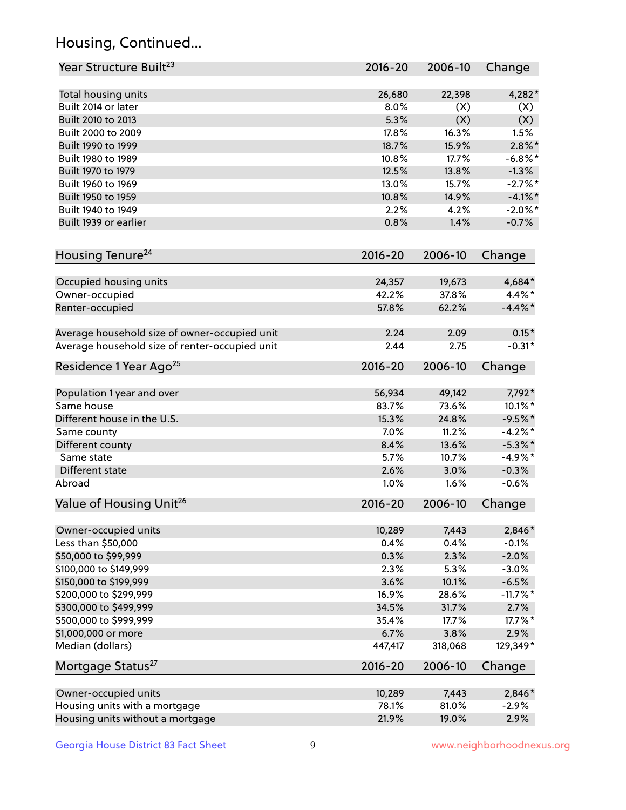## Housing, Continued...

| Year Structure Built <sup>23</sup>             | 2016-20     | 2006-10 | Change      |
|------------------------------------------------|-------------|---------|-------------|
| Total housing units                            | 26,680      | 22,398  | 4,282*      |
| Built 2014 or later                            | 8.0%        | (X)     | (X)         |
| Built 2010 to 2013                             | 5.3%        | (X)     | (X)         |
| Built 2000 to 2009                             | 17.8%       | 16.3%   | 1.5%        |
| Built 1990 to 1999                             | 18.7%       | 15.9%   | $2.8\%$ *   |
| Built 1980 to 1989                             | 10.8%       | 17.7%   | $-6.8\%$ *  |
| Built 1970 to 1979                             | 12.5%       | 13.8%   | $-1.3%$     |
| Built 1960 to 1969                             | 13.0%       | 15.7%   | $-2.7%$ *   |
| Built 1950 to 1959                             | 10.8%       | 14.9%   | $-4.1\%$ *  |
| Built 1940 to 1949                             | 2.2%        | 4.2%    | $-2.0\%$ *  |
| Built 1939 or earlier                          | 0.8%        | 1.4%    | $-0.7%$     |
|                                                |             |         |             |
| Housing Tenure <sup>24</sup>                   | $2016 - 20$ | 2006-10 | Change      |
| Occupied housing units                         | 24,357      | 19,673  | 4,684*      |
| Owner-occupied                                 | 42.2%       | 37.8%   | 4.4%*       |
| Renter-occupied                                | 57.8%       | 62.2%   | $-4.4\%$ *  |
| Average household size of owner-occupied unit  | 2.24        | 2.09    | $0.15*$     |
| Average household size of renter-occupied unit | 2.44        | 2.75    | $-0.31*$    |
| Residence 1 Year Ago <sup>25</sup>             | $2016 - 20$ | 2006-10 | Change      |
| Population 1 year and over                     | 56,934      | 49,142  | 7,792*      |
| Same house                                     | 83.7%       | 73.6%   | 10.1%*      |
| Different house in the U.S.                    | 15.3%       | 24.8%   | $-9.5%$ *   |
| Same county                                    | 7.0%        | 11.2%   | $-4.2%$ *   |
| Different county                               | 8.4%        | 13.6%   | $-5.3\%$ *  |
| Same state                                     | 5.7%        | 10.7%   | $-4.9%$ *   |
| Different state                                | 2.6%        | 3.0%    | $-0.3%$     |
| Abroad                                         | 1.0%        | 1.6%    | $-0.6%$     |
| Value of Housing Unit <sup>26</sup>            | $2016 - 20$ | 2006-10 | Change      |
|                                                |             |         |             |
| Owner-occupied units                           | 10,289      | 7,443   | 2,846*      |
| Less than \$50,000                             | 0.4%        | 0.4%    | $-0.1%$     |
| \$50,000 to \$99,999                           | 0.3%        | 2.3%    | $-2.0%$     |
| \$100,000 to \$149,999                         | 2.3%        | 5.3%    | $-3.0%$     |
| \$150,000 to \$199,999                         | 3.6%        | 10.1%   | $-6.5%$     |
| \$200,000 to \$299,999                         | 16.9%       | 28.6%   | $-11.7\%$ * |
| \$300,000 to \$499,999                         | 34.5%       | 31.7%   | 2.7%        |
| \$500,000 to \$999,999                         | 35.4%       | 17.7%   | 17.7%*      |
| \$1,000,000 or more                            | 6.7%        | 3.8%    | 2.9%        |
| Median (dollars)                               | 447,417     | 318,068 | 129,349*    |
| Mortgage Status <sup>27</sup>                  | $2016 - 20$ | 2006-10 | Change      |
| Owner-occupied units                           | 10,289      | 7,443   | 2,846*      |
| Housing units with a mortgage                  | 78.1%       | 81.0%   | $-2.9%$     |
| Housing units without a mortgage               | 21.9%       | 19.0%   | 2.9%        |
|                                                |             |         |             |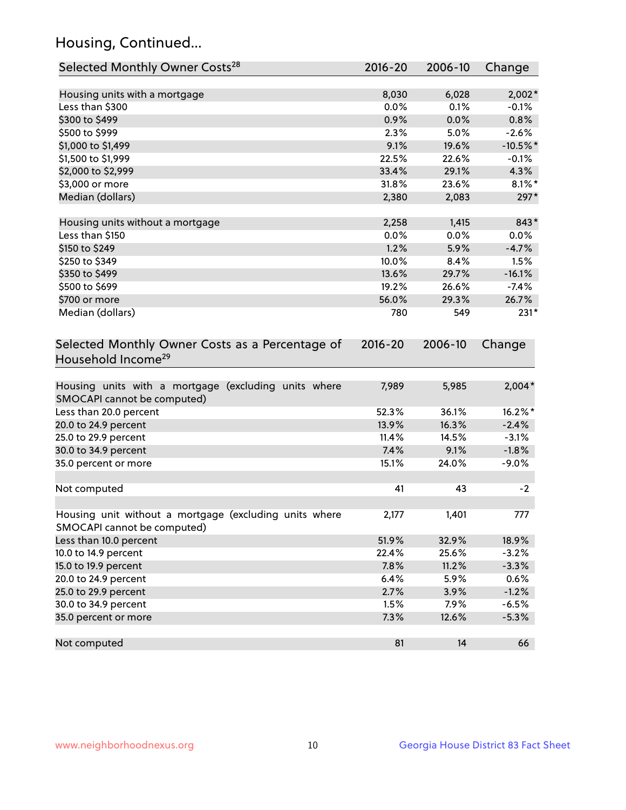## Housing, Continued...

| Selected Monthly Owner Costs <sup>28</sup>                                            | 2016-20     | 2006-10 | Change     |
|---------------------------------------------------------------------------------------|-------------|---------|------------|
| Housing units with a mortgage                                                         | 8,030       | 6,028   | $2,002*$   |
| Less than \$300                                                                       | 0.0%        | 0.1%    | $-0.1%$    |
| \$300 to \$499                                                                        | 0.9%        | 0.0%    | 0.8%       |
| \$500 to \$999                                                                        | 2.3%        | 5.0%    | $-2.6%$    |
| \$1,000 to \$1,499                                                                    | 9.1%        | 19.6%   | $-10.5%$ * |
| \$1,500 to \$1,999                                                                    | 22.5%       | 22.6%   | $-0.1%$    |
| \$2,000 to \$2,999                                                                    | 33.4%       | 29.1%   | 4.3%       |
| \$3,000 or more                                                                       | 31.8%       | 23.6%   | $8.1\%$ *  |
| Median (dollars)                                                                      | 2,380       | 2,083   | 297*       |
| Housing units without a mortgage                                                      | 2,258       | 1,415   | 843*       |
| Less than \$150                                                                       | 0.0%        | 0.0%    | 0.0%       |
| \$150 to \$249                                                                        | 1.2%        | 5.9%    | $-4.7%$    |
| \$250 to \$349                                                                        | 10.0%       | 8.4%    | 1.5%       |
| \$350 to \$499                                                                        | 13.6%       | 29.7%   | $-16.1%$   |
| \$500 to \$699                                                                        | 19.2%       | 26.6%   | $-7.4%$    |
| \$700 or more                                                                         | 56.0%       | 29.3%   | 26.7%      |
| Median (dollars)                                                                      | 780         | 549     | $231*$     |
| Selected Monthly Owner Costs as a Percentage of<br>Household Income <sup>29</sup>     | $2016 - 20$ | 2006-10 | Change     |
| Housing units with a mortgage (excluding units where<br>SMOCAPI cannot be computed)   | 7,989       | 5,985   | $2,004*$   |
| Less than 20.0 percent                                                                | 52.3%       | 36.1%   | 16.2%*     |
| 20.0 to 24.9 percent                                                                  | 13.9%       | 16.3%   | $-2.4%$    |
| 25.0 to 29.9 percent                                                                  | 11.4%       | 14.5%   | $-3.1%$    |
| 30.0 to 34.9 percent                                                                  | 7.4%        | 9.1%    | $-1.8%$    |
| 35.0 percent or more                                                                  | 15.1%       | 24.0%   | $-9.0%$    |
| Not computed                                                                          | 41          | 43      | $-2$       |
| Housing unit without a mortgage (excluding units where<br>SMOCAPI cannot be computed) | 2,177       | 1,401   | 777        |
| Less than 10.0 percent                                                                | 51.9%       | 32.9%   | 18.9%      |
| 10.0 to 14.9 percent                                                                  | 22.4%       | 25.6%   | $-3.2%$    |
| 15.0 to 19.9 percent                                                                  | 7.8%        | 11.2%   | $-3.3%$    |
| 20.0 to 24.9 percent                                                                  | 6.4%        | 5.9%    | 0.6%       |
| 25.0 to 29.9 percent                                                                  | 2.7%        | 3.9%    | $-1.2%$    |
| 30.0 to 34.9 percent                                                                  | 1.5%        | 7.9%    | $-6.5%$    |
| 35.0 percent or more                                                                  | 7.3%        | 12.6%   | $-5.3%$    |
| Not computed                                                                          | 81          | 14      | 66         |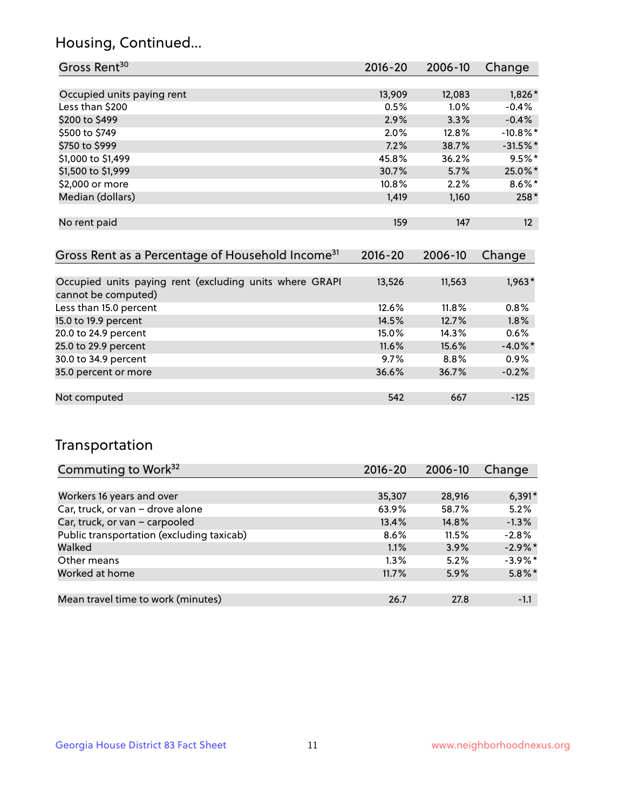## Housing, Continued...

| Gross Rent <sup>30</sup>   | 2016-20 | 2006-10 | Change      |
|----------------------------|---------|---------|-------------|
|                            |         |         |             |
| Occupied units paying rent | 13,909  | 12,083  | $1,826*$    |
| Less than \$200            | 0.5%    | 1.0%    | $-0.4%$     |
| \$200 to \$499             | 2.9%    | 3.3%    | $-0.4%$     |
| \$500 to \$749             | 2.0%    | 12.8%   | $-10.8\%$ * |
| \$750 to \$999             | 7.2%    | 38.7%   | $-31.5%$ *  |
| \$1,000 to \$1,499         | 45.8%   | 36.2%   | $9.5%$ *    |
| \$1,500 to \$1,999         | 30.7%   | 5.7%    | 25.0%*      |
| \$2,000 or more            | 10.8%   | 2.2%    | $8.6\%$ *   |
| Median (dollars)           | 1,419   | 1,160   | 258*        |
|                            |         |         |             |
| No rent paid               | 159     | 147     | 12          |

| Gross Rent as a Percentage of Household Income <sup>31</sup>                   | $2016 - 20$ | 2006-10 | Change     |
|--------------------------------------------------------------------------------|-------------|---------|------------|
|                                                                                |             |         |            |
| Occupied units paying rent (excluding units where GRAPI<br>cannot be computed) | 13,526      | 11,563  | $1,963*$   |
| Less than 15.0 percent                                                         | 12.6%       | 11.8%   | 0.8%       |
| 15.0 to 19.9 percent                                                           | 14.5%       | 12.7%   | 1.8%       |
| 20.0 to 24.9 percent                                                           | 15.0%       | 14.3%   | 0.6%       |
| 25.0 to 29.9 percent                                                           | 11.6%       | 15.6%   | $-4.0\%$ * |
| 30.0 to 34.9 percent                                                           | 9.7%        | $8.8\%$ | 0.9%       |
| 35.0 percent or more                                                           | 36.6%       | 36.7%   | $-0.2%$    |
| Not computed                                                                   | 542         | 667     | $-125$     |

## Transportation

| Commuting to Work <sup>32</sup>           | 2016-20 | 2006-10 | Change     |
|-------------------------------------------|---------|---------|------------|
|                                           |         |         |            |
| Workers 16 years and over                 | 35,307  | 28,916  | $6,391*$   |
| Car, truck, or van - drove alone          | 63.9%   | 58.7%   | 5.2%       |
| Car, truck, or van - carpooled            | 13.4%   | 14.8%   | $-1.3%$    |
| Public transportation (excluding taxicab) | 8.6%    | 11.5%   | $-2.8%$    |
| Walked                                    | 1.1%    | 3.9%    | $-2.9\%$ * |
| Other means                               | $1.3\%$ | 5.2%    | $-3.9\%$ * |
| Worked at home                            | 11.7%   | 5.9%    | $5.8\%$ *  |
|                                           |         |         |            |
| Mean travel time to work (minutes)        | 26.7    | 27.8    | $-1.1$     |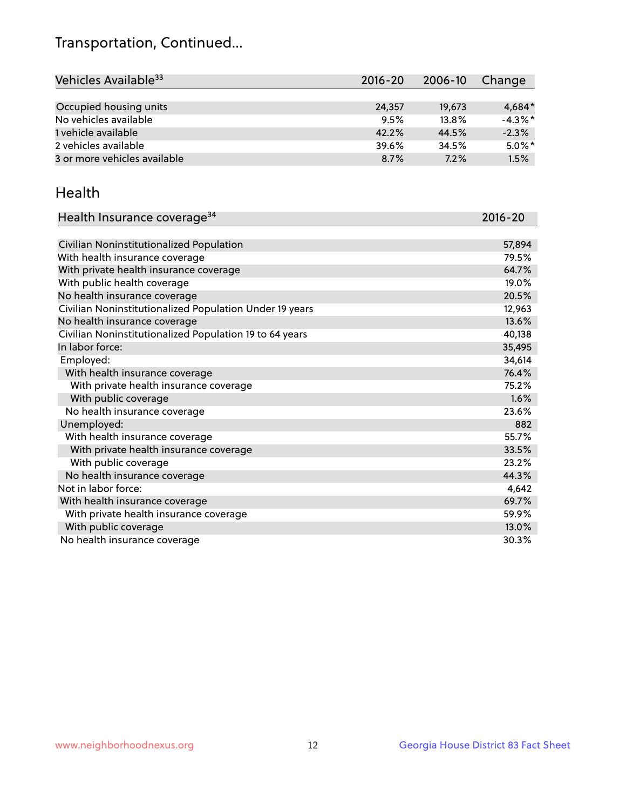## Transportation, Continued...

| Vehicles Available <sup>33</sup> | $2016 - 20$ | 2006-10 | Change     |
|----------------------------------|-------------|---------|------------|
|                                  |             |         |            |
| Occupied housing units           | 24,357      | 19.673  | $4,684*$   |
| No vehicles available            | 9.5%        | 13.8%   | $-4.3\%$ * |
| 1 vehicle available              | 42.2%       | 44.5%   | $-2.3%$    |
| 2 vehicles available             | 39.6%       | 34.5%   | $5.0\%$ *  |
| 3 or more vehicles available     | 8.7%        | 7.2%    | 1.5%       |

#### Health

| Health Insurance coverage <sup>34</sup>                 | 2016-20 |
|---------------------------------------------------------|---------|
|                                                         |         |
| Civilian Noninstitutionalized Population                | 57,894  |
| With health insurance coverage                          | 79.5%   |
| With private health insurance coverage                  | 64.7%   |
| With public health coverage                             | 19.0%   |
| No health insurance coverage                            | 20.5%   |
| Civilian Noninstitutionalized Population Under 19 years | 12,963  |
| No health insurance coverage                            | 13.6%   |
| Civilian Noninstitutionalized Population 19 to 64 years | 40,138  |
| In labor force:                                         | 35,495  |
| Employed:                                               | 34,614  |
| With health insurance coverage                          | 76.4%   |
| With private health insurance coverage                  | 75.2%   |
| With public coverage                                    | 1.6%    |
| No health insurance coverage                            | 23.6%   |
| Unemployed:                                             | 882     |
| With health insurance coverage                          | 55.7%   |
| With private health insurance coverage                  | 33.5%   |
| With public coverage                                    | 23.2%   |
| No health insurance coverage                            | 44.3%   |
| Not in labor force:                                     | 4,642   |
| With health insurance coverage                          | 69.7%   |
| With private health insurance coverage                  | 59.9%   |
| With public coverage                                    | 13.0%   |
| No health insurance coverage                            | 30.3%   |